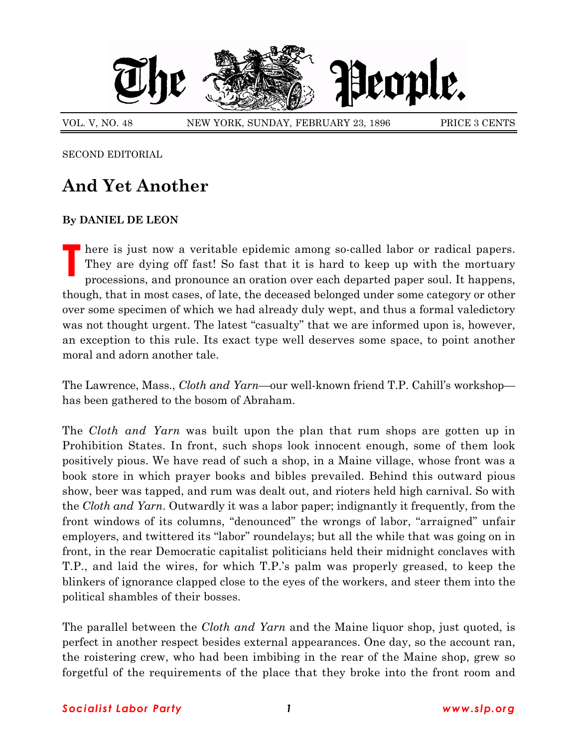

VOL. V, NO. 48 NEW YORK, SUNDAY, FEBRUARY 23, 1896 PRICE 3 CENTS

SECOND EDITORIAL

## **And Yet Another**

## **By DANIEL DE LEON**

**T** here is just now a veritable epidemic among so-called labor or radical papers. They are dying off fast! So fast that it is hard to keep up with the mortuary processions, and pronounce an oration over each departed paper soul. It happens, though, that in most cases, of late, the deceased belonged under some category or other over some specimen of which we had already duly wept, and thus a formal valedictory was not thought urgent. The latest "casualty" that we are informed upon is, however, an exception to this rule. Its exact type well deserves some space, to point another moral and adorn another tale.

The Lawrence, Mass., *Cloth and Yarn*—our well-known friend T.P. Cahill's workshop has been gathered to the bosom of Abraham.

The *Cloth and Yarn* was built upon the plan that rum shops are gotten up in Prohibition States. In front, such shops look innocent enough, some of them look positively pious. We have read of such a shop, in a Maine village, whose front was a book store in which prayer books and bibles prevailed. Behind this outward pious show, beer was tapped, and rum was dealt out, and rioters held high carnival. So with the *Cloth and Yarn*. Outwardly it was a labor paper; indignantly it frequently, from the front windows of its columns, "denounced" the wrongs of labor, "arraigned" unfair employers, and twittered its "labor" roundelays; but all the while that was going on in front, in the rear Democratic capitalist politicians held their midnight conclaves with T.P., and laid the wires, for which T.P.ís palm was properly greased, to keep the blinkers of ignorance clapped close to the eyes of the workers, and steer them into the political shambles of their bosses.

The parallel between the *Cloth and Yarn* and the Maine liquor shop, just quoted, is perfect in another respect besides external appearances. One day, so the account ran, the roistering crew, who had been imbibing in the rear of the Maine shop, grew so forgetful of the requirements of the place that they broke into the front room and